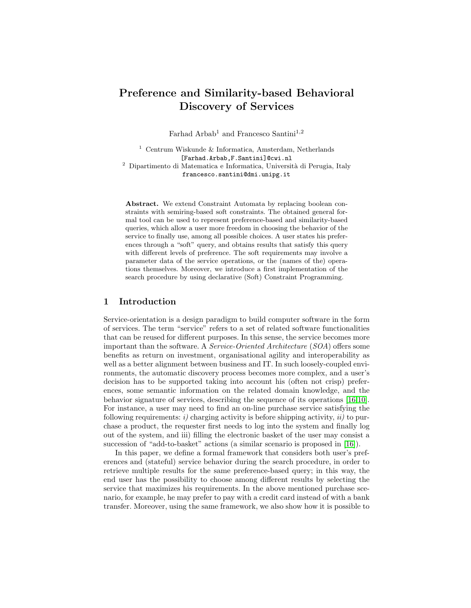# Preference and Similarity-based Behavioral Discovery of Services

Farhad Arbab<sup>1</sup> and Francesco Santini<sup>1,2</sup>

<sup>1</sup> Centrum Wiskunde & Informatica, Amsterdam, Netherlands [Farhad.Arbab,F.Santini]@cwi.nl  $^{\rm 2}$  Dipartimento di Matematica e Informatica, Università di Perugia, Italy francesco.santini@dmi.unipg.it

Abstract. We extend Constraint Automata by replacing boolean constraints with semiring-based soft constraints. The obtained general formal tool can be used to represent preference-based and similarity-based queries, which allow a user more freedom in choosing the behavior of the service to finally use, among all possible choices. A user states his preferences through a "soft" query, and obtains results that satisfy this query with different levels of preference. The soft requirements may involve a parameter data of the service operations, or the (names of the) operations themselves. Moreover, we introduce a first implementation of the search procedure by using declarative (Soft) Constraint Programming.

# <span id="page-0-0"></span>1 Introduction

Service-orientation is a design paradigm to build computer software in the form of services. The term "service" refers to a set of related software functionalities that can be reused for different purposes. In this sense, the service becomes more important than the software. A *Service-Oriented Architecture* (*SOA*) offers some benefits as return on investment, organisational agility and interoperability as well as a better alignment between business and IT. In such loosely-coupled environments, the automatic discovery process becomes more complex, and a user's decision has to be supported taking into account his (often not crisp) preferences, some semantic information on the related domain knowledge, and the behavior signature of services, describing the sequence of its operations [\[16](#page-14-0)[,10\]](#page-14-1). For instance, a user may need to find an on-line purchase service satisfying the following requirements:  $i$ ) charging activity is before shipping activity,  $ii$ ) to purchase a product, the requester first needs to log into the system and finally log out of the system, and iii) filling the electronic basket of the user may consist a succession of "add-to-basket" actions (a similar scenario is proposed in [\[16\]](#page-14-0)).

In this paper, we define a formal framework that considers both user's preferences and (stateful) service behavior during the search procedure, in order to retrieve multiple results for the same preference-based query; in this way, the end user has the possibility to choose among different results by selecting the service that maximizes his requirements. In the above mentioned purchase scenario, for example, he may prefer to pay with a credit card instead of with a bank transfer. Moreover, using the same framework, we also show how it is possible to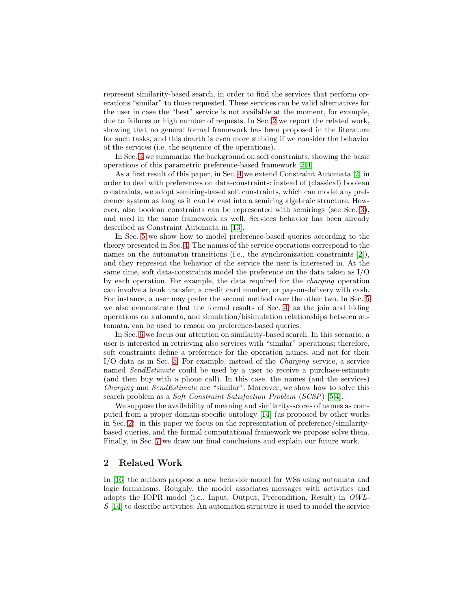represent similarity-based search, in order to find the services that perform operations "similar" to those requested. These services can be valid alternatives for the user in case the "best" service is not available at the moment, for example, due to failures or high number of requests. In Sec. [2](#page-1-0) we report the related work, showing that no general formal framework has been proposed in the literature for such tasks, and this dearth is even more striking if we consider the behavior of the services (i.e. the sequence of the operations).

In Sec. [3](#page-2-0) we summarize the background on soft constraints, showing the basic operations of this parametric preference-based framework [\[5](#page-14-2)[,4\]](#page-14-3).

As a first result of this paper, in Sec. [4](#page-4-0) we extend Constraint Automata [\[2\]](#page-14-4) in order to deal with preferences on data-constraints: instead of (classical) boolean constraints, we adopt semiring-based soft constraints, which can model any preference system as long as it can be cast into a semiring algebraic structure. However, also boolean constraints can be represented with semirings (see Sec. [3\)](#page-2-0), and used in the same framework as well. Services behavior has been already described as Constraint Automata in [\[13\]](#page-14-5).

In Sec. [5](#page-8-0) we show how to model preference-based queries according to the theory presented in Sec. [4.](#page-4-0) The names of the service operations correspond to the names on the automaton transitions (i.e., the synchronization constraints [\[2\]](#page-14-4)), and they represent the behavior of the service the user is interested in. At the same time, soft data-constraints model the preference on the data taken as I/O by each operation. For example, the data required for the *charging* operation can involve a bank transfer, a credit card number, or pay-on-delivery with cash. For instance, a user may prefer the second method over the other two. In Sec. [5](#page-8-0) we also demonstrate that the formal results of Sec. [4,](#page-4-0) as the join and hiding operations on automata, and simulation/bisimulation relationships between automata, can be used to reason on preference-based queries.

In Sec. [6](#page-11-0) we focus our attention on similarity-based search. In this scenario, a user is interested in retrieving also services with "similar" operations; therefore, soft constraints define a preference for the operation names, and not for their I/O data as in Sec. [5.](#page-8-0) For example, instead of the *Charging* service, a service named *SendEstimate* could be used by a user to receive a purchase-estimate (and then buy with a phone call). In this case, the names (and the services) *Charging* and *SendEstimate* are "similar". Moreover, we show how to solve this search problem as a *Soft Constraint Satisfaction Problem* (*SCSP*) [\[5](#page-14-2)[,4\]](#page-14-3).

We suppose the availability of meaning and similarity-scores of names as computed from a proper domain-specific ontology [\[14\]](#page-14-6) (as proposed by other works in Sec. [2\)](#page-1-0): in this paper we focus on the representation of preference/similaritybased queries, and the formal computational framework we propose solve them. Finally, in Sec. [7](#page-13-0) we draw our final conclusions and explain our future work.

## <span id="page-1-0"></span>2 Related Work

In [\[16\]](#page-14-0) the authors propose a new behavior model for WSs using automata and logic formalisms. Roughly, the model associates messages with activities and adopts the IOPR model (i.e., Input, Output, Precondition, Result) in *OWL-S* [\[14\]](#page-14-6) to describe activities. An automaton structure is used to model the service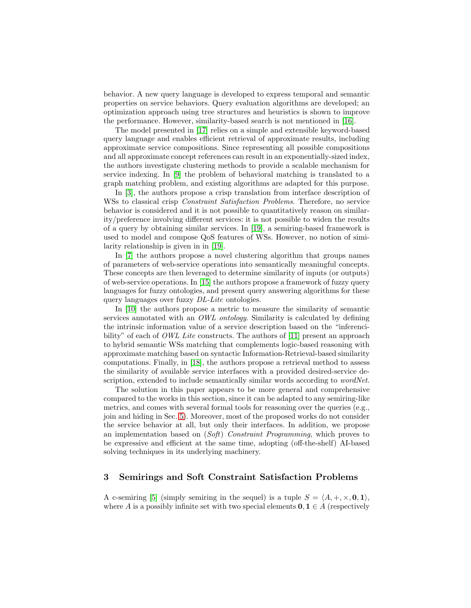behavior. A new query language is developed to express temporal and semantic properties on service behaviors. Query evaluation algorithms are developed; an optimization approach using tree structures and heuristics is shown to improve the performance. However, similarity-based search is not mentioned in [\[16\]](#page-14-0).

The model presented in [\[17\]](#page-14-7) relies on a simple and extensible keyword-based query language and enables efficient retrieval of approximate results, including approximate service compositions. Since representing all possible compositions and all approximate concept references can result in an exponentially-sized index, the authors investigate clustering methods to provide a scalable mechanism for service indexing. In [\[9\]](#page-14-8) the problem of behavioral matching is translated to a graph matching problem, and existing algorithms are adapted for this purpose.

In [\[3\]](#page-14-9), the authors propose a crisp translation from interface description of WSs to classical crisp *Constraint Satisfaction Problems*. Therefore, no service behavior is considered and it is not possible to quantitatively reason on similarity/preference involving different services: it is not possible to widen the results of a query by obtaining similar services. In [\[19\]](#page-14-10), a semiring-based framework is used to model and compose QoS features of WSs. However, no notion of similarity relationship is given in in [\[19\]](#page-14-10).

In [\[7\]](#page-14-11) the authors propose a novel clustering algorithm that groups names of parameters of web-service operations into semantically meaningful concepts. These concepts are then leveraged to determine similarity of inputs (or outputs) of web-service operations. In [\[15\]](#page-14-12) the authors propose a framework of fuzzy query languages for fuzzy ontologies, and present query answering algorithms for these query languages over fuzzy *DL-Lite* ontologies.

In [\[10\]](#page-14-1) the authors propose a metric to measure the similarity of semantic services annotated with an *OWL ontology*. Similarity is calculated by defining the intrinsic information value of a service description based on the "inferencibility" of each of *OWL Lite* constructs. The authors of [\[11\]](#page-14-13) present an approach to hybrid semantic WSs matching that complements logic-based reasoning with approximate matching based on syntactic Information-Retrieval-based similarity computations. Finally, in [\[18\]](#page-14-14), the authors propose a retrieval method to assess the similarity of available service interfaces with a provided desired-service description, extended to include semantically similar words according to *wordNet*.

The solution in this paper appears to be more general and comprehensive compared to the works in this section, since it can be adapted to any semiring-like metrics, and comes with several formal tools for reasoning over the queries (e.g., join and hiding in Sec. [5\)](#page-8-0). Moreover, most of the proposed works do not consider the service behavior at all, but only their interfaces. In addition, we propose an implementation based on (*Soft*) *Constraint Programming*, which proves to be expressive and efficient at the same time, adopting (off-the-shelf) AI-based solving techniques in its underlying machinery.

# <span id="page-2-0"></span>3 Semirings and Soft Constraint Satisfaction Problems

A c-semiring [\[5\]](#page-14-2) (simply semiring in the sequel) is a tuple  $S = \langle A, +, \times, \mathbf{0}, \mathbf{1} \rangle$ , where A is a possibly infinite set with two special elements  $0, 1 \in A$  (respectively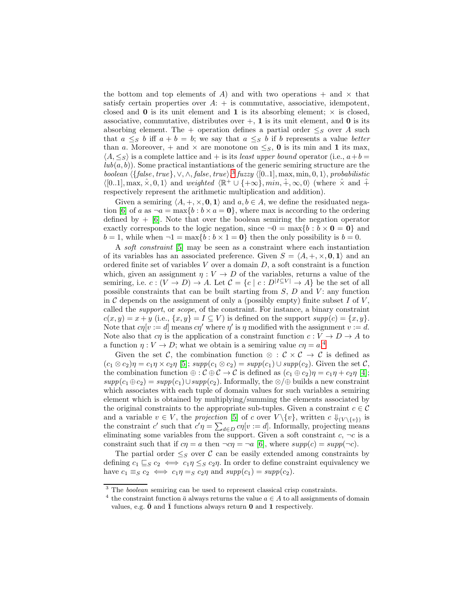the bottom and top elements of A) and with two operations  $+$  and  $\times$  that satisfy certain properties over  $A: +$  is commutative, associative, idempotent, closed and  $\bf{0}$  is its unit element and  $\bf{1}$  is its absorbing element;  $\times$  is closed, associative, commutative, distributes over  $+$ , 1 is its unit element, and 0 is its absorbing element. The + operation defines a partial order  $\leq_S$  over A such that  $a \leq_S b$  iff  $a + b = b$ ; we say that  $a \leq_S b$  if b represents a value *better* than a. Moreover, + and  $\times$  are monotone on  $\leq_S$ , **0** is its min and **1** its max,  $\langle A, \leq_S \rangle$  is a complete lattice and + is its *least upper bound* operator (i.e.,  $a+b=$  $lub(a, b)$ . Some practical instantiations of the generic semiring structure are the  $boolean \langle \{false, true\}, \vee, \wedge, false, true \rangle$ ,<sup>[3](#page-3-0)</sup>  $fuzzy \langle [0..1], \max, \min, 0, 1 \rangle$ , probabilistic  $\langle [0..1], \max, \hat{\times}, 0, 1 \rangle$  and *weighted*  $\langle \mathbb{R}^+ \cup \{+\infty\}, \min, \hat{+}, \infty, 0 \rangle$  (where  $\hat{\times}$  and  $\hat{+}$ respectively represent the arithmetic multiplication and addition).

Given a semiring  $\langle A, +, \times, \mathbf{0}, \mathbf{1} \rangle$  and  $a, b \in A$ , we define the residuated nega-tion [\[6\]](#page-14-15) of a as  $\neg a = \max\{b : b \times a = 0\}$ , where max is according to the ordering defined by  $+$  [\[6\]](#page-14-15). Note that over the boolean semiring the negation operator exactly corresponds to the logic negation, since  $\neg 0 = \max\{b : b \times 0 = 0\}$  and  $b = 1$ , while when  $\neg 1 = \max\{b : b \times 1 = 0\}$  then the only possibility is  $b = 0$ .

A *soft constraint* [\[5\]](#page-14-2) may be seen as a constraint where each instantiation of its variables has an associated preference. Given  $S = \langle A, +, \times, \mathbf{0}, \mathbf{1} \rangle$  and an ordered finite set of variables  $V$  over a domain  $D$ , a soft constraint is a function which, given an assignment  $\eta: V \to D$  of the variables, returns a value of the semiring, i.e.  $c:(V \to D) \to A$ . Let  $\mathcal{C} = \{c \mid c: D^{|I \subseteq V|} \to A\}$  be the set of all possible constraints that can be built starting from  $S$ ,  $D$  and  $V$ : any function in C depends on the assignment of only a (possibly empty) finite subset  $I$  of  $V$ , called the *support*, or *scope*, of the constraint. For instance, a binary constraint  $c(x, y) = x + y$  (i.e.,  $\{x, y\} = I \subseteq V$ ) is defined on the support  $supp(c) = \{x, y\}.$ Note that  $c\eta[v := d]$  means  $c\eta'$  where  $\eta'$  is  $\eta$  modified with the assignment  $v := d$ . Note also that c $\eta$  is the application of a constraint function  $c: V \to D \to A$  to a function  $\eta: V \to D$ ; what we obtain is a semiring value  $c\eta = a^{4}$  $c\eta = a^{4}$  $c\eta = a^{4}$ .

Given the set C, the combination function  $\otimes$  :  $\mathcal{C} \times \mathcal{C} \rightarrow \mathcal{C}$  is defined as  $(c_1 \otimes c_2)\eta = c_1\eta \times c_2\eta$  [\[5\]](#page-14-2);  $supp(c_1 \otimes c_2) = supp(c_1) \cup supp(c_2)$ . Given the set C, the combination function  $\oplus : \mathcal{C} \oplus \mathcal{C} \to \mathcal{C}$  is defined as  $(c_1 \oplus c_2)\eta = c_1\eta + c_2\eta$  [\[4\]](#page-14-3);  $supp(c_1 \oplus c_2) = supp(c_1) \cup supp(c_2)$ . Informally, the ⊗/⊕ builds a new constraint which associates with each tuple of domain values for such variables a semiring element which is obtained by multiplying/summing the elements associated by the original constraints to the appropriate sub-tuples. Given a constraint  $c \in \mathcal{C}$ and a variable  $v \in V$ , the *projection* [\[5\]](#page-14-2) of c over  $V \setminus \{v\}$ , written  $c \Downarrow_{(V \setminus \{v\})}$  is the constraint c' such that  $c'\eta = \sum_{d \in D} c\eta[v := d]$ . Informally, projecting means eliminating some variables from the support. Given a soft constraint  $c, \neg c$  is a constraint such that if  $c\eta = a$  then  $\neg c\eta = \neg a$  [\[6\]](#page-14-15), where  $supp(c) = supp(\neg c)$ .

The partial order  $\leq_S$  over C can be easily extended among constraints by defining  $c_1 \sqsubseteq_S c_2 \iff c_1 \eta \leq_S c_2 \eta$ . In order to define constraint equivalency we have  $c_1 \equiv_S c_2 \iff c_1 \eta =_S c_2 \eta$  and  $supp(c_1) = supp(c_2)$ .

<sup>&</sup>lt;sup>3</sup> The *boolean* semiring can be used to represent classical crisp constraints.

<span id="page-3-1"></span><span id="page-3-0"></span><sup>&</sup>lt;sup>4</sup> the constraint function  $\bar{a}$  always returns the value  $a \in A$  to all assignments of domain values, e.g.  $\bar{0}$  and  $\bar{1}$  functions always return 0 and 1 respectively.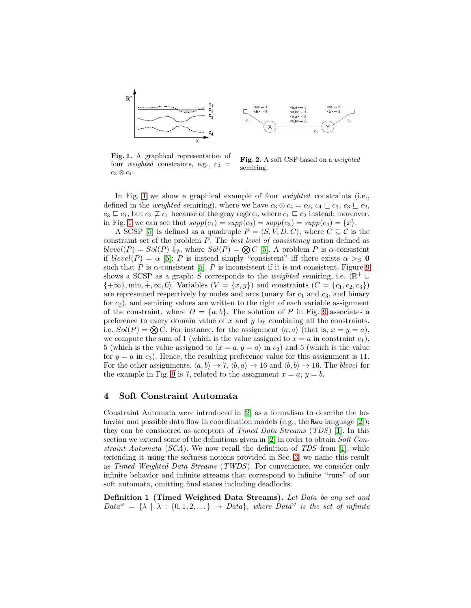



<span id="page-4-1"></span>Fig. 1. A graphical representation of four *weighted* constraints, e.g.,  $c_2$  =  $c_3 \otimes c_4$ .

Fig. 2. A soft CSP based on a weighted semiring.

In Fig. [1](#page-4-1) we show a graphical example of four *weighted* constraints (i.e., defined in the *weighted* semiring), where we have  $c_3 \otimes c_4 = c_2, c_4 \sqsubseteq c_3, c_3 \sqsubseteq c_2$ ,  $c_3 \sqsubseteq c_1$ , but  $c_2 \not\sqsubseteq c_1$  because of the gray region, where  $c_1 \sqsubseteq c_2$  instead; moreover, in Fig. [1](#page-4-1) we can see that  $supp(c_1) = supp(c_2) = supp(c_3) = supp(c_4) = \{x\}.$ 

A SCSP [\[5\]](#page-14-2) is defined as a quadruple  $P = \langle S, V, D, C \rangle$ , where  $C \subseteq C$  is the constraint set of the problem P. The *best level of consistency* notion defined as blevel(P) =  $Sol(P) \Downarrow_{\emptyset}$ , where  $Sol(P) = \bigotimes C$  [\[5\]](#page-14-2). A problem P is  $\alpha$ -consistent if  $blevel(P) = \alpha$  [\[5\]](#page-14-2); P is instead simply "consistent" iff there exists  $\alpha >_{S} 0$ such that P is  $\alpha$ -consistent [\[5\]](#page-14-2). P is inconsistent if it is not consistent. Figure [9](#page-10-0) shows a SCSP as a graph: S corresponds to the *weighted* semiring, i.e.  $\overline{\mathbb{R}^+ \cup \mathbb{R}^+}$  ${\mathcal{H}} = {\mathcal{L}}$ , min,  $\hat{+}, \infty, 0$ . Variables  $(V = {x, y} )$  and constraints  $(C = {c_1, c_2, c_3})$ are represented respectively by nodes and arcs (unary for  $c_1$  and  $c_3$ , and binary for  $c_2$ ), and semiring values are written to the right of each variable assignment of the constraint, where  $D = \{a, b\}$ . The solution of P in Fig. [9](#page-10-0) associates a preference to every domain value of  $x$  and  $y$  by combining all the constraints, i.e.  $Sol(P) = \bigotimes C$ . For instance, for the assignment  $\langle a, a \rangle$  (that is,  $x = y = a$ ), we compute the sum of 1 (which is the value assigned to  $x = a$  in constraint  $c_1$ ), 5 (which is the value assigned to  $\langle x = a, y = a \rangle$  in  $c_2$ ) and 5 (which is the value for  $y = a$  in  $c_3$ ). Hence, the resulting preference value for this assignment is 11. For the other assignments,  $\langle a, b \rangle \rightarrow 7, \langle b, a \rangle \rightarrow 16$  and  $\langle b, b \rangle \rightarrow 16$ . The *blevel* for the example in Fig. [9](#page-10-0) is 7, related to the assignment  $x = a, y = b$ .

## <span id="page-4-0"></span>4 Soft Constraint Automata

Constraint Automata were introduced in [\[2\]](#page-14-4) as a formalism to describe the be-havior and possible data flow in coordination models (e.g., the Reo language [\[2\]](#page-14-4)); they can be considered as acceptors of *Timed Data Streams* (*TDS*) [\[1\]](#page-14-16). In this section we extend some of the definitions given in [\[2\]](#page-14-4) in order to obtain *Soft Constraint Automata* (*SCA*). We now recall the definition of *TDS* from [\[1\]](#page-14-16), while extending it using the softness notions provided in Sec. [3:](#page-2-0) we name this result as *Timed Weighted Data Streams* (*TWDS*). For convenience, we consider only infinite behavior and infinite streams that correspond to infinite "runs" of our soft automata, omitting final states including deadlocks.

<span id="page-4-2"></span>Definition 1 (Timed Weighted Data Streams). *Let Data be any set and*  $Data^{\omega} = {\lambda | \lambda : \{0, 1, 2, ...\} \rightarrow Data},$  where  $Data^{\omega}$  is the set of infinite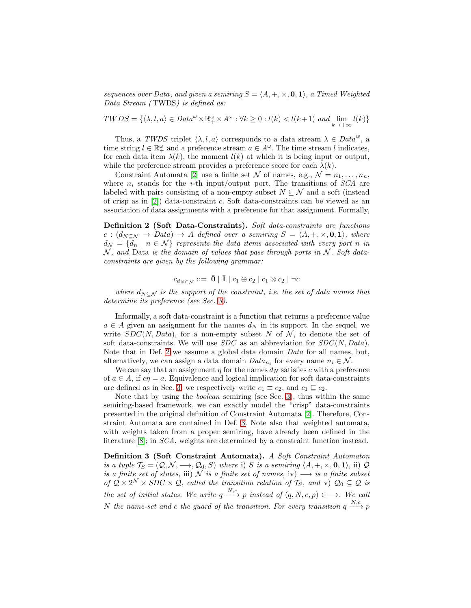*sequences over Data, and given a semiring*  $S = \langle A, +, \times, \mathbf{0}, \mathbf{1} \rangle$ *, a Timed Weighted Data Stream (* TWDS*) is defined as:*

$$
TWDS = \{ \langle \lambda, l, a \rangle \in Data^{\omega} \times \mathbb{R}_+^{\omega} \times A^{\omega} : \forall k \ge 0 : l(k) < l(k+1) \text{ and } \lim_{k \to +\infty} l(k) \}
$$

Thus, a *TWDS* triplet  $\langle \lambda, l, a \rangle$  corresponds to a data stream  $\lambda \in Data^w$ , a time string  $l \in \mathbb{R}^{\omega}_+$  and a preference stream  $a \in A^{\omega}$ . The time stream l indicates, for each data item  $\lambda(k)$ , the moment  $l(k)$  at which it is being input or output, while the preference stream provides a preference score for each  $\lambda(k)$ .

Constraint Automata [\[2\]](#page-14-4) use a finite set N of names, e.g.,  $\mathcal{N} = n_1, \ldots, n_n$ , where  $n_i$  stands for the *i*-th input/output port. The transitions of *SCA* are labeled with pairs consisting of a non-empty subset  $N \subseteq \mathcal{N}$  and a soft (instead of crisp as in [\[2\]](#page-14-4)) data-constraint c. Soft data-constraints can be viewed as an association of data assignments with a preference for that assignment. Formally,

<span id="page-5-0"></span>Definition 2 (Soft Data-Constraints). *Soft data-constraints are functions*  $c : (d_{N\subset \mathcal{N}} \to Data) \to A$  *defined over a semiring*  $S = \langle A, +, \times, \mathbf{0}, \mathbf{1} \rangle$ *, where*  $d_N = \{d_n | n \in \mathcal{N}\}\$  represents the data items associated with every port n in N, and Data *is the domain of values that pass through ports in* N. Soft data*constraints are given by the following grammar:*

$$
\mathit{c}_{d_N \subset \mathcal{N}} ::= \ \bar{\mathbf{0}} \mid \bar{\mathbf{1}} \mid \mathit{c}_1 \oplus \mathit{c}_2 \mid \mathit{c}_1 \otimes \mathit{c}_2 \mid \neg \mathit{c}
$$

*where*  $d_{N\subset\mathcal{N}}$  *is the support of the constraint, i.e. the set of data names that determine its preference (see Sec. [3\)](#page-2-0).*

Informally, a soft data-constraint is a function that returns a preference value  $a \in A$  given an assignment for the names  $d_N$  in its support. In the sequel, we write  $SDC(N, Data)$ , for a non-empty subset N of N, to denote the set of soft data-constraints. We will use *SDC* as an abbreviation for *SDC*(N, *Data*). Note that in Def. [2](#page-5-0) we assume a global data domain *Data* for all names, but, alternatively, we can assign a data domain  $Data_{n_i}$  for every name  $n_i \in \mathcal{N}$ .

We can say that an assignment  $\eta$  for the names  $d_N$  satisfies c with a preference of  $a \in A$ , if  $c\eta = a$ . Equivalence and logical implication for soft data-constraints are defined as in Sec. [3:](#page-2-0) we respectively write  $c_1 \equiv c_2$ , and  $c_1 \sqsubseteq c_2$ .

Note that by using the *boolean* semiring (see Sec. [3\)](#page-2-0), thus within the same semiring-based framework, we can exactly model the "crisp" data-constraints presented in the original definition of Constraint Automata [\[2\]](#page-14-4). Therefore, Constraint Automata are contained in Def. [3.](#page-5-1) Note also that weighted automata, with weights taken from a proper semiring, have already been defined in the literature [\[8\]](#page-14-17); in *SCA*, weights are determined by a constraint function instead.

<span id="page-5-1"></span>Definition 3 (Soft Constraint Automata). *A Soft Constraint Automaton is a tuple*  $\mathcal{T}_S = (\mathcal{Q}, \mathcal{N}, \longrightarrow, \mathcal{Q}_0, S)$  *where* i) S *is a semiring*  $\langle A, +, \times, \mathbf{0}, \mathbf{1} \rangle$ , ii) Q *is a finite set of states,* iii)  $N$  *is a finite set of names,* iv)  $\longrightarrow$  *is a finite subset of*  $Q \times 2^N \times SDC \times Q$ , called the transition relation of  $\mathcal{T}_S$ , and v)  $Q_0 \subseteq Q$  is *the set of initial states. We write*  $q \xrightarrow{N,c} p$  *instead of*  $(q, N, c, p) \in \rightarrow$ *. We call* N the name-set and c the guard of the transition. For every transition  $q \stackrel{N,c}{\longrightarrow} p$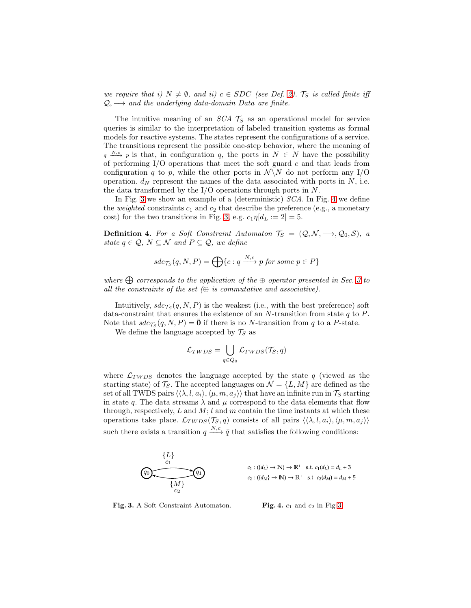*we require that i)*  $N \neq \emptyset$ *, and ii)*  $c \in SDC$  *(see Def. [2\)](#page-5-0).*  $\mathcal{T}_S$  *is called finite iff*  $Q \rightarrow$  and the underlying data-domain Data are finite.

The intuitive meaning of an *SCA*  $\mathcal{T}_S$  as an operational model for service queries is similar to the interpretation of labeled transition systems as formal models for reactive systems. The states represent the configurations of a service. The transitions represent the possible one-step behavior, where the meaning of  $q \stackrel{N,c}{\longrightarrow} p$  is that, in configuration q, the ports in  $N \in N$  have the possibility of performing  $I/O$  operations that meet the soft guard  $c$  and that leads from configuration q to p, while the other ports in  $\mathcal{N}\backslash N$  do not perform any I/O operation.  $d_N$  represent the names of the data associated with ports in  $N$ , i.e. the data transformed by the  $I/O$  operations through ports in  $N$ .

In Fig. [3](#page-6-0) we show an example of a (deterministic) *SCA*. In Fig. [4](#page-6-1) we define the *weighted* constraints  $c_1$  and  $c_2$  that describe the preference (e.g., a monetary cost) for the two transitions in Fig. [3,](#page-6-0) e.g.  $c_1\eta d_L := 2 = 5$ .

**Definition 4.** For a Soft Constraint Automaton  $\mathcal{T}_S = (\mathcal{Q}, \mathcal{N}, \rightarrow, \mathcal{Q}_0, \mathcal{S})$ , a *state*  $q \in \mathcal{Q}, N \subseteq \mathcal{N}$  *and*  $P \subseteq \mathcal{Q}$ *, we define* 

$$
sdc_{\mathcal{T}_S}(q, N, P) = \bigoplus \{c : q \xrightarrow{N,c} p \text{ for some } p \in P\}
$$

*where*  $\bigoplus$  *corresponds to the application of the*  $\oplus$  *operator presented in Sec. 3 to all the constraints of the set (*⊕ *is commutative and associative).*

Intuitively,  $sdc_{\mathcal{TS}}(q, N, P)$  is the weakest (i.e., with the best preference) soft data-constraint that ensures the existence of an  $N$ -transition from state  $q$  to  $P$ . Note that  $sdc_{\mathcal{T}_{S}}(q, N, P) = \bar{\mathbf{0}}$  if there is no N-transition from q to a P-state.

We define the language accepted by  $\mathcal{T}_S$  as

$$
\mathcal{L}_{TWDS} = \bigcup_{q \in Q_0} \mathcal{L}_{TWDS}(\mathcal{T}_S, q)
$$

where  $\mathcal{L}_{TWDS}$  denotes the language accepted by the state q (viewed as the starting state) of  $\mathcal{T}_S$ . The accepted languages on  $\mathcal{N} = \{L, M\}$  are defined as the set of all TWDS pairs  $\langle \langle \lambda, l, a_i \rangle, \langle \mu, m, a_j \rangle \rangle$  that have an infinite run in  $\mathcal{T}_S$  starting in state q. The data streams  $\lambda$  and  $\mu$  correspond to the data elements that flow through, respectively, L and M; l and m contain the time instants at which these operations take place.  $\mathcal{L}_{TWDS}(\mathcal{T}_S, q)$  consists of all pairs  $\langle \langle \lambda, l, a_i \rangle, \langle \mu, m, a_i \rangle \rangle$ such there exists a transition  $q \xrightarrow{N,c} \bar{q}$  that satisfies the following conditions:



<span id="page-6-0"></span>Fig. [3.](#page-6-0) A Soft Constraint Automaton. Fig. 4.  $c_1$  and  $c_2$  in Fig 3.

<span id="page-6-1"></span>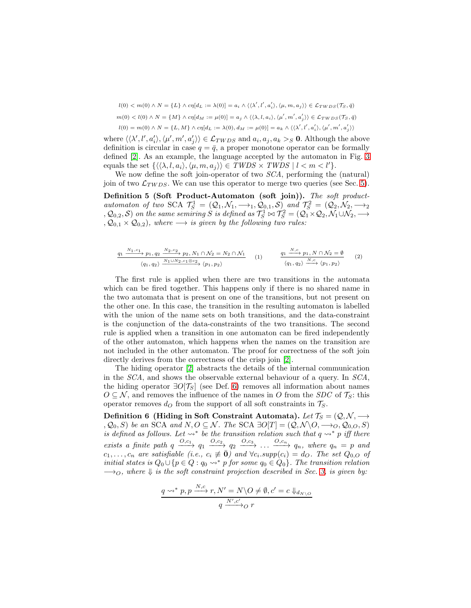$l(0) < m(0) \wedge N = \{L\} \wedge c\eta[d_L := \lambda(0)] = a_i \wedge \langle \langle \lambda', l', a_i' \rangle, \langle \mu, m, a_j \rangle \rangle \in \mathcal{L}_{TWDS}(\mathcal{T}_S, \bar{q})$ 

$$
m(0) < l(0) \land N = \{M\} \land \text{cr}[d_M := \mu(0)] = a_j \land \langle \langle \lambda, l, a_i \rangle, \langle \mu', m', a'_j \rangle \rangle \in \mathcal{L}_{TWDS}(\mathcal{T}_S, \bar{q})
$$
\n
$$
l(0) = m(0) \land N = \{L, M\} \land \text{cr}[d_L := \lambda(0), d_M := \mu(0)] = a_k \land \langle \langle \lambda', l', a'_i \rangle, \langle \mu', m', a'_j \rangle \rangle
$$

where  $\langle\langle \lambda', l', a_i'\rangle, \langle \mu', m', a_j'\rangle\rangle \in \mathcal{L}_{TWDS}$  and  $a_i, a_j, a_k >_S \mathbf{0}$ . Although the above definition is circular in case  $q = \bar{q}$ , a proper monotone operator can be formally defined [\[2\]](#page-14-4). As an example, the language accepted by the automaton in Fig. [3](#page-6-0) equals the set  $\{\langle\langle \lambda, l, a_i\rangle, \langle \mu,m, a_j\rangle\rangle\in \textit{TWDS}\times \textit{TWDS} \mid l < m < l'\}.$ 

We now define the soft join-operator of two *SCA*, performing the (natural) join of two  $\mathcal{L}_{TWDS}$ . We can use this operator to merge two queries (see Sec. [5\)](#page-8-0).

Definition 5 (Soft Product-Automaton (soft join)). *The soft productautomaton of two* SCA  $\mathcal{T}_S^1 = (Q_1, \mathcal{N}_1, \longrightarrow_1, Q_{0,1}, \mathcal{S})$  *and*  $\mathcal{T}_S^2 = (Q_2, \mathcal{N}_2, \longrightarrow_2)$  $(a_1, Q_{0,2}, S)$  *on the same semiring*  $S$  *is defined as*  $\mathcal{T}_S^1 \bowtie \mathcal{T}_S^2 = (\mathcal{Q}_1 \times \mathcal{Q}_2, \mathcal{N}_1 \cup \mathcal{N}_2, \longrightarrow$  $, \mathcal{Q}_{0,1} \times \mathcal{Q}_{0,2}$ *), where*  $\longrightarrow$  *is given by the following two rules:* 

$$
\frac{q_1 \xrightarrow{N_1, c_1} p_1, q_2 \xrightarrow{N_2, c_2} p_2, N_1 \cap \mathcal{N}_2 = N_2 \cap \mathcal{N}_1}{\langle q_1, q_2 \rangle \xrightarrow{N_1 \cup N_2, c_1 \otimes c_2} \langle p_1, p_2 \rangle} \qquad (1) \qquad \frac{q_1 \xrightarrow{N, c} p_1, N \cap \mathcal{N}_2 = \emptyset}{\langle q_1, q_2 \rangle \xrightarrow{N, c} \langle p_1, p_2 \rangle} \qquad (2)
$$

The first rule is applied when there are two transitions in the automata which can be fired together. This happens only if there is no shared name in the two automata that is present on one of the transitions, but not present on the other one. In this case, the transition in the resulting automaton is labelled with the union of the name sets on both transitions, and the data-constraint is the conjunction of the data-constraints of the two transitions. The second rule is applied when a transition in one automaton can be fired independently of the other automaton, which happens when the names on the transition are not included in the other automaton. The proof for correctness of the soft join directly derives from the correctness of the crisp join [\[2\]](#page-14-4).

The hiding operator [\[2\]](#page-14-4) abstracts the details of the internal communication in the *SCA*, and shows the observable external behaviour of a query. In *SCA*, the hiding operator  $\exists O[\mathcal{T}_S]$  (see Def. [6\)](#page-7-0) removes all information about names  $O \subseteq \mathcal{N}$ , and removes the influence of the names in O from the *SDC* of  $\mathcal{T}_S$ : this operator removes  $d<sub>O</sub>$  from the support of all soft constraints in  $\mathcal{T}_S$ .

Definition 6 (Hiding in Soft Constraint Automata). Let  $\mathcal{T}_S = (\mathcal{Q}, \mathcal{N}, \rightarrow)$ ,  $Q_0$ , S) *be an* SCA *and*  $N, O \subseteq N$ *. The* SCA  $\exists O[T] = (Q, \mathcal{N} \setminus O, \longrightarrow_O, Q_{0,O}, S)$ *is defined as follows. Let*  $\rightsquigarrow^*$  be the transition relation such that  $q \rightsquigarrow^* p$  iff there *exists a finite path*  $q \xrightarrow{O,c_1} q_1 \xrightarrow{O,c_2} q_2 \xrightarrow{O,c_3} \dots \xrightarrow{O,c_n} q_n$ , where  $q_n = p$  and  $c_1, \ldots, c_n$  are satisfiable (i.e.,  $c_i \neq \overline{0}$ ) and  $\forall c_i$ . supp $(c_i) = d_O$ . The set  $Q_{0,O}$  of *initial states is*  $Q_0 \cup \{p \in Q : q_0 \leadsto^* p \text{ for some } q_0 \in Q_0\}$ . The transition relation  $\rightarrow$ <sub>O</sub>, where  $\downarrow$  *is the soft constraint projection described in Sec.* [3,](#page-2-0) *is given by:* 

<span id="page-7-0"></span>
$$
\frac{q \rightsquigarrow^* p, p \xrightarrow{N,c} r, N' = N \backslash O \neq \emptyset, c' = c \Downarrow_{d_{N \backslash O}}}{q \xrightarrow{N', c'} o r}
$$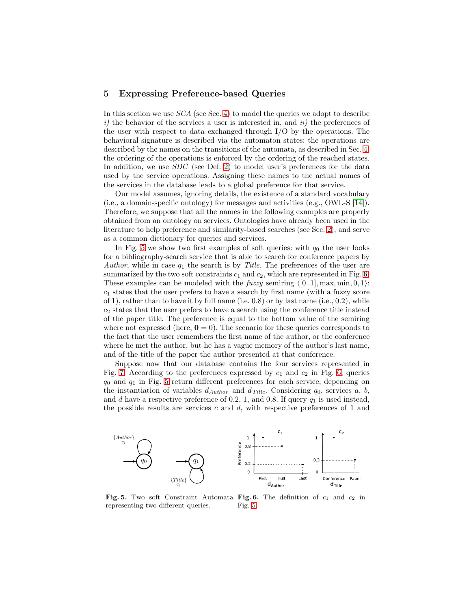## <span id="page-8-0"></span>5 Expressing Preference-based Queries

In this section we use *SCA* (see Sec. [4\)](#page-4-0) to model the queries we adopt to describe *i)* the behavior of the services a user is interested in, and *ii)* the preferences of the user with respect to data exchanged through I/O by the operations. The behavioral signature is described via the automaton states: the operations are described by the names on the transitions of the automata, as described in Sec. [4;](#page-4-0) the ordering of the operations is enforced by the ordering of the reached states. In addition, we use *SDC* (see Def. [2\)](#page-5-0) to model user's preferences for the data used by the service operations. Assigning these names to the actual names of the services in the database leads to a global preference for that service.

Our model assumes, ignoring details, the existence of a standard vocabulary (i.e., a domain-specific ontology) for messages and activities (e.g., OWL-S [\[14\]](#page-14-6)). Therefore, we suppose that all the names in the following examples are properly obtained from an ontology on services. Ontologies have already been used in the literature to help preference and similarity-based searches (see Sec. [2\)](#page-1-0), and serve as a common dictionary for queries and services.

In Fig. [5](#page-8-1) we show two first examples of soft queries: with  $q_0$  the user looks for a bibliography-search service that is able to search for conference papers by *Author*, while in case  $q_1$  the search is by *Title*. The preferences of the user are summarized by the two soft constraints  $c_1$  and  $c_2$ , which are represented in Fig. [6.](#page-8-2) These examples can be modeled with the *fuzzy* semiring  $\langle [0..1], \text{max}, \text{min}, 0, 1 \rangle$ :  $c_1$  states that the user prefers to have a search by first name (with a fuzzy score of 1), rather than to have it by full name (i.e.  $(0.8)$  or by last name (i.e.,  $(0.2)$ , while  $c_2$  states that the user prefers to have a search using the conference title instead of the paper title. The preference is equal to the bottom value of the semiring where not expressed (here,  $\mathbf{0} = 0$ ). The scenario for these queries corresponds to the fact that the user remembers the first name of the author, or the conference where he met the author, but he has a vague memory of the author's last name, and of the title of the paper the author presented at that conference.

Suppose now that our database contains the four services represented in Fig. [7.](#page-9-0) According to the preferences expressed by  $c_1$  and  $c_2$  in Fig. [6,](#page-8-2) queries  $q_0$  and  $q_1$  in Fig. [5](#page-8-1) return different preferences for each service, depending on the instantiation of variables  $d_{Author}$  and  $d_{Title}$ . Considering  $q_0$ , services a, b, and d have a respective preference of 0.2, 1, and 0.8. If query  $q_1$  is used instead, the possible results are services  $c$  and  $d$ , with respective preferences of 1 and



<span id="page-8-2"></span><span id="page-8-1"></span>**Fig. 5.** Two soft Constraint Automata Fig. 6. The definition of  $c_1$  and  $c_2$  in representing two different queries. Fig. [5.](#page-8-1)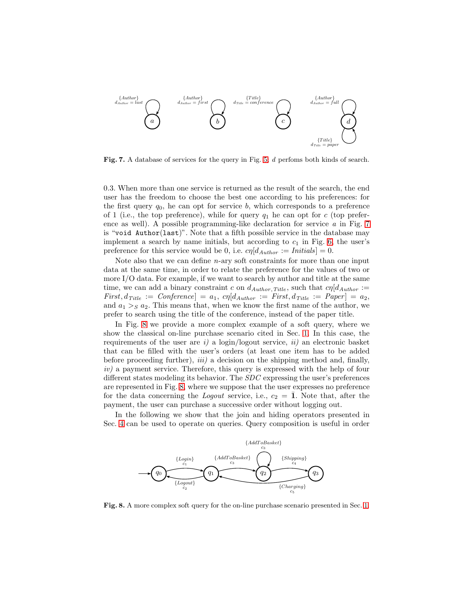

<span id="page-9-0"></span>Fig. 7. A database of services for the query in Fig. [5;](#page-8-1) d perfoms both kinds of search.

0.3. When more than one service is returned as the result of the search, the end user has the freedom to choose the best one according to his preferences: for the first query  $q_0$ , he can opt for service b, which corresponds to a preference of 1 (i.e., the top preference), while for query  $q_1$  he can opt for c (top preference as well). A possible programming-like declaration for service *a* in Fig. [7](#page-9-0) is "void Author(last)". Note that a fifth possible service in the database may implement a search by name initials, but according to  $c_1$  in Fig. [6,](#page-8-2) the user's preference for this service would be 0, i.e.  $c\eta[d_{Author} := Initials] = 0$ .

Note also that we can define *n*-ary soft constraints for more than one input data at the same time, in order to relate the preference for the values of two or more I/O data. For example, if we want to search by author and title at the same time, we can add a binary constraint c on  $d_{Author, Title}$ , such that  $c\eta[d_{Author} :=$ *First*,  $d_{Title} := Conference = a_1$ ,  $c\eta[d_{Author} := First, d_{Title} := Paper] = a_2$ , and  $a_1 >_S a_2$ . This means that, when we know the first name of the author, we prefer to search using the title of the conference, instead of the paper title.

In Fig. [8](#page-9-1) we provide a more complex example of a soft query, where we show the classical on-line purchase scenario cited in Sec. [1.](#page-0-0) In this case, the requirements of the user are *i)* a login/logout service, *ii)* an electronic basket that can be filled with the user's orders (at least one item has to be added before proceeding further), *iii)* a decision on the shipping method and, finally, *iv)* a payment service. Therefore, this query is expressed with the help of four different states modeling its behavior. The *SDC* expressing the user's preferences are represented in Fig. [8,](#page-9-1) where we suppose that the user expresses no preference for the data concerning the *Logout* service, i.e.,  $c_2 = \overline{1}$ . Note that, after the payment, the user can purchase a successive order without logging out.

In the following we show that the join and hiding operators presented in Sec. [4](#page-4-0) can be used to operate on queries. Query composition is useful in order



<span id="page-9-1"></span>Fig. 8. A more complex soft query for the on-line purchase scenario presented in Sec. [1.](#page-0-0)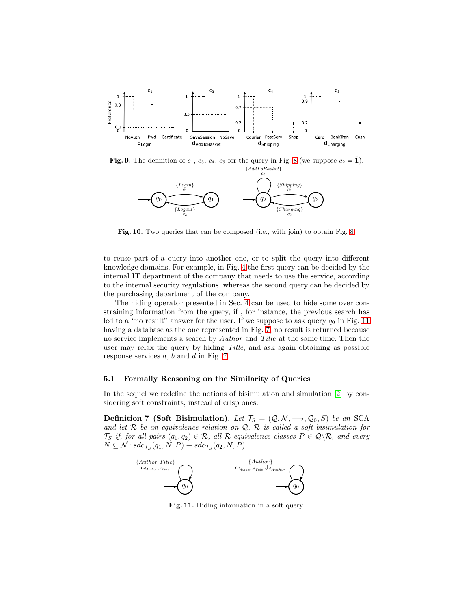

Fig. 9. The definition of  $c_1$ ,  $c_3$ ,  $c_4$ ,  $c_5$  for the query in Fig. [8](#page-9-1) (we suppose  $c_2 = \bar{1}$ ).  ${AddToBasket}$ 

<span id="page-10-0"></span>

Fig. 10. Two queries that can be composed (i.e., with join) to obtain Fig. [8.](#page-9-1)

to reuse part of a query into another one, or to split the query into different knowledge domains. For example, in Fig. [4](#page-4-0) the first query can be decided by the internal IT department of the company that needs to use the service, according to the internal security regulations, whereas the second query can be decided by the purchasing department of the company.

The hiding operator presented in Sec. [4](#page-4-0) can be used to hide some over constraining information from the query, if , for instance, the previous search has led to a "no result" answer for the user. If we suppose to ask query  $q_0$  in Fig. [11](#page-10-1) having a database as the one represented in Fig. [7,](#page-9-0) no result is returned because no service implements a search by *Author* and *Title* at the same time. Then the user may relax the query by hiding *Title*, and ask again obtaining as possible response services  $a, b$  and  $d$  in Fig. [7.](#page-9-0)

#### 5.1 Formally Reasoning on the Similarity of Queries

In the sequel we redefine the notions of bisimulation and simulation [\[2\]](#page-14-4) by considering soft constraints, instead of crisp ones.

**Definition 7 (Soft Bisimulation).** Let  $\mathcal{T}_S = (\mathcal{Q}, \mathcal{N}, \rightarrow, \mathcal{Q}_0, S)$  be an SCA *and let* R *be an equivalence relation on* Q*.* R *is called a soft bisimulation for*  $\mathcal{T}_S$  *if, for all pairs*  $(q_1, q_2) \in \mathcal{R}$ *, all*  $\mathcal{R}$ -equivalence classes  $P \in \mathcal{Q} \backslash \mathcal{R}$ *, and every*  $N \subseteq \mathcal{N}$ :  $sdc_{\mathcal{T}_S}(q_1, N, P) \equiv sdc_{\mathcal{T}_S}(q_2, N, P)$ .



<span id="page-10-1"></span>Fig. 11. Hiding information in a soft query.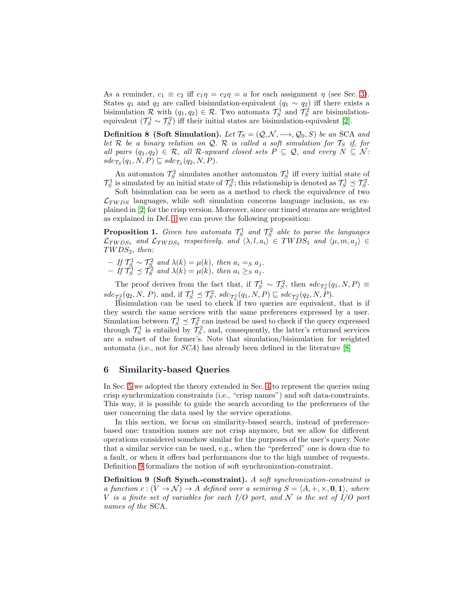As a reminder,  $c_1 \equiv c_2$  iff  $c_1 \eta = c_2 \eta = a$  for each assignment  $\eta$  (see Sec. [3\)](#page-2-0). States  $q_1$  and  $q_2$  are called bisimulation-equivalent  $(q_1 \sim q_2)$  iff there exists a bisimulation R with  $(q_1, q_2) \in \mathcal{R}$ . Two automata  $\mathcal{T}_S^1$  and  $\mathcal{T}_S^2$  are bisimulationequivalent  $(\mathcal{T}_{S}^1 \sim \mathcal{T}_{S}^2)$  iff their initial states are bisimulation-equivalent [\[2\]](#page-14-4).

**Definition 8 (Soft Simulation).** Let  $\mathcal{T}_S = (\mathcal{Q}, \mathcal{N}, \longrightarrow, \mathcal{Q}_0, S)$  be an SCA and *let*  $\mathcal{R}$  *be a binary relation on*  $\mathcal{Q}$ *.*  $\mathcal{R}$  *is called a soft simulation for*  $\mathcal{T}_S$  *if, for all pairs*  $(q_1, q_2) \in \mathcal{R}$ *, all*  $\mathcal{R}$ *-upward closed sets*  $P \subseteq \mathcal{Q}$ *, and every*  $N \subseteq \mathcal{N}$ *:*  $sdc_{\mathcal{T}_S}(q_1, N, P) \sqsubseteq sdc_{\mathcal{T}_S}(q_2, N, P).$ 

An automaton  $\mathcal{T}_S^2$  simulates another automaton  $\mathcal{T}_S^1$  iff every initial state of  $\mathcal{T}_S^1$  is simulated by an initial state of  $\mathcal{T}_S^2$ ; this relationship is denoted as  $\mathcal{T}_S^1 \preceq \mathcal{T}_S^2$ .

Soft bisimulation can be seen as a method to check the equivalence of two  $\mathcal{L}_{TWDS}$  languages, while soft simulation concerns language inclusion, as explained in [\[2\]](#page-14-4) for the crisp version. Moreover, since our timed streams are weighted as explained in Def. [1](#page-4-2) we can prove the following proposition:

**Proposition 1.** *Given two automata*  $\mathcal{T}_{S}^1$  *and*  $\mathcal{T}_{S}^2$  *able to parse the languages*  $\mathcal{L}_{TWDS_1}$  and  $\mathcal{L}_{TWDS_2}$  respectively, and  $\langle \lambda, l, a_i \rangle \in TWDS_1$  and  $\langle \mu, m, a_j \rangle \in$ TW DS2*, then:*

 $-If T_S^1 \sim T_S^2$  and  $\lambda(k) = \mu(k)$ , then  $a_i =_S a_j$ .  $-If \mathcal{T}_S^1 \preceq \mathcal{T}_S^2$  and  $\lambda(k) = \mu(k)$ , then  $a_i \geq_S a_j$ .

The proof derives from the fact that, if  $\mathcal{T}_{S}^1 \sim \mathcal{T}_{S}^2$ , then  $sdc_{\mathcal{T}_{S}^1}(q_1, N, P) \equiv$  $sdc_{\mathcal{T}_{\mathcal{S}}^{2}}(q_{2}, N, P)$ , and, if  $\mathcal{T}_{\mathcal{S}}^{1} \preceq \mathcal{T}_{\mathcal{S}}^{2}$ ,  $sdc_{\mathcal{T}_{\mathcal{S}}^{1}}(q_{1}, N, P) \sqsubseteq sdc_{\mathcal{T}_{\mathcal{S}}^{2}}(q_{2}, N, P)$ .

Bisimulation can be used to check if two queries are equivalent, that is if they search the same services with the same preferences expressed by a user. Simulation between  $\mathcal{T}_{S}^{1} \preceq \mathcal{T}_{S}^{2}$  can instead be used to check if the query expressed through  $\mathcal{T}_S^1$  is entailed by  $\tilde{\mathcal{T}}_S^2$ , and, consequently, the latter's returned services are a subset of the former's. Note that simulation/bisimulation for weighted automata (i.e., not for *SCA*) has already been defined in the literature [\[8\]](#page-14-17)

# <span id="page-11-0"></span>6 Similarity-based Queries

In Sec. [5](#page-8-0) we adopted the theory extended in Sec. [4](#page-4-0) to represent the queries using crisp synchronization constraints (i.e., "crisp names") and soft data-constraints. This way, it is possible to guide the search according to the preferences of the user concerning the data used by the service operations.

In this section, we focus on similarity-based search, instead of preferencebased one: transition names are not crisp anymore, but we allow for different operations considered somehow similar for the purposes of the user's query. Note that a similar service can be used, e.g., when the "preferred" one is down due to a fault, or when it offers bad performances due to the high number of requests. Definition [9](#page-11-1) formalizes the notion of soft synchronization-constraint.

<span id="page-11-1"></span>Definition 9 (Soft Synch.-constraint). *A soft synchronization-constraint is a function*  $c: (V \to \mathcal{N}) \to A$  *defined over a semiring*  $S = \langle A, +, \times, \mathbf{0}, \mathbf{1} \rangle$ *, where* V is a finite set of variables for each  $I/O$  port, and  $N$  is the set of  $I/O$  port *names of the* SCA*.*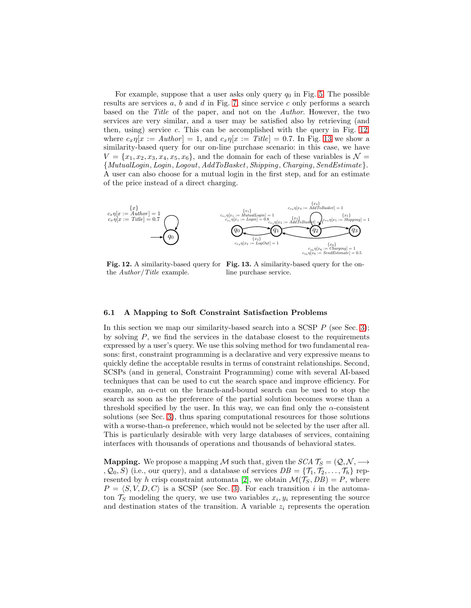For example, suppose that a user asks only query  $q_0$  in Fig. [5.](#page-8-1) The possible results are services a, b and d in Fig. [7,](#page-9-0) since service c only performs a search based on the *Title* of the paper, and not on the *Author*. However, the two services are very similar, and a user may be satisfied also by retrieving (and then, using) service c. This can be accomplished with the query in Fig. [12,](#page-12-0) where  $c_x \eta[x := Author] = 1$ , and  $c_x \eta[x := Title] = 0.7$ . In Fig. [13](#page-12-1) we show a similarity-based query for our on-line purchase scenario: in this case, we have  $V = \{x_1, x_2, x_3, x_4, x_5, x_6\}$ , and the domain for each of these variables is  $\mathcal{N} =$ {*MutualLogin*, *Login*, *Logout*, *AddToBasket*, *Shipping*, *Charging*, *SendEstimate*}. A user can also choose for a mutual login in the first step, and for an estimate of the price instead of a direct charging.



<span id="page-12-1"></span><span id="page-12-0"></span>Fig. 12. A similarity-based query for Fig. 13. A similarity-based query for the onthe Author/Title example. line purchase service.

#### <span id="page-12-2"></span>6.1 A Mapping to Soft Constraint Satisfaction Problems

In this section we map our similarity-based search into a SCSP  $P$  (see Sec. [3\)](#page-2-0); by solving  $P$ , we find the services in the database closest to the requirements expressed by a user's query. We use this solving method for two fundamental reasons: first, constraint programming is a declarative and very expressive means to quickly define the acceptable results in terms of constraint relationships. Second, SCSPs (and in general, Constraint Programming) come with several AI-based techniques that can be used to cut the search space and improve efficiency. For example, an  $\alpha$ -cut on the branch-and-bound search can be used to stop the search as soon as the preference of the partial solution becomes worse than a threshold specified by the user. In this way, we can find only the  $\alpha$ -consistent solutions (see Sec. [3\)](#page-2-0), thus sparing computational resources for those solutions with a worse-than- $\alpha$  preference, which would not be selected by the user after all. This is particularly desirable with very large databases of services, containing interfaces with thousands of operations and thousands of behavioral states.

**Mapping.** We propose a mapping M such that, given the  $SCA$   $\mathcal{T}_S = (Q, \mathcal{N}, \rightarrow)$ ,  $\mathcal{Q}_0$ , S) (i.e., our query), and a database of services  $DB = \{\mathcal{T}_1, \mathcal{T}_2, \ldots, \mathcal{T}_h\}$  rep-resented by h crisp constraint automata [\[2\]](#page-14-4), we obtain  $\mathcal{M}(\mathcal{T}_S, DB) = P$ , where  $P = \langle S, V, D, C \rangle$  is a SCSP (see Sec. [3\)](#page-2-0). For each transition i in the automaton  $\mathcal{T}_S$  modeling the query, we use two variables  $x_i, y_i$  representing the source and destination states of the transition. A variable  $z_i$  represents the operation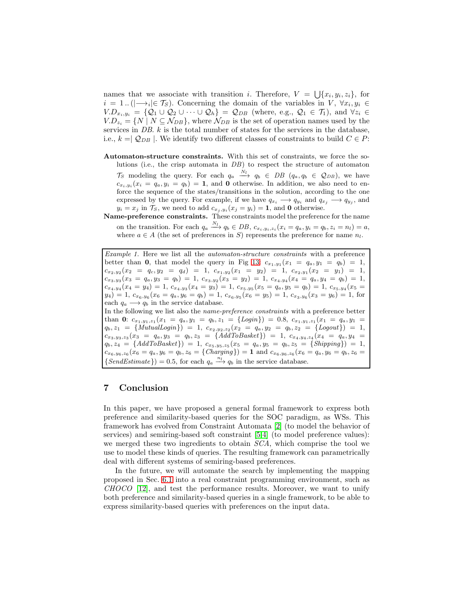names that we associate with transition *i*. Therefore,  $V = \bigcup \{x_i, y_i, z_i\}$ , for  $i = 1$ .. ( $|\longrightarrow_i| \in \mathcal{T}_S$ ). Concerning the domain of the variables in  $V, \forall x_i, y_i \in$  $V.D_{x_i,y_i} = \{Q_1 \cup Q_2 \cup \cdots \cup Q_h\} = Q_{DB}$  (where, e.g.,  $Q_1 \in \mathcal{T}_1$ ), and  $\forall z_i \in \mathcal{T}_1$  $V.D_{z_i} = \{N \mid N \subseteq \mathcal{N}_{DB}\}\,$ , where  $\mathcal{N}_{DB}$  is the set of operation names used by the services in  $DB$ .  $k$  is the total number of states for the services in the database, i.e.,  $k = \mathcal{Q}_{DB}$ . We identify two different classes of constraints to build  $C \in P$ :

- Automaton-structure constraints. With this set of constraints, we force the solutions (i.e., the crisp automata in DB) to respect the structure of automaton  $\mathcal{T}_S$  modeling the query. For each  $q_a \stackrel{N_l}{\longrightarrow} q_b \in DB$   $(q_a, q_b \in \mathcal{Q}_{DB})$ , we have  $c_{x_i,y_i}(x_i = q_a, y_i = q_b) = 1$ , and 0 otherwise. In addition, we also need to enforce the sequence of the states/transitions in the solution, according to the one expressed by the query. For example, if we have  $q_{x_i} \longrightarrow q_{y_i}$  and  $q_{x_j} \longrightarrow q_{y_j}$ , and  $y_i = x_j$  in  $\mathcal{T}_S$ , we need to add  $c_{x_j, y_i}(x_j = y_i) = 1$ , and **0** otherwise.
- Name-preference constraints. These constraints model the preference for the name on the transition. For each  $q_a \stackrel{N_l}{\longrightarrow} q_b \in DB$ ,  $c_{x_i,y_i,z_i}(x_i = q_a, y_i = q_b, z_i = n_l) = a$ , where  $a \in A$  (the set of preferences in S) represents the preference for name  $n_l$ .

Example 1. Here we list all the automaton-structure constraints with a preference better than 0, that model the query in Fig [13:](#page-12-1)  $c_{x_1,y_1}(x_1 = q_a, y_1 = q_b) = 1$ ,  $c_{x_2,y_2}(x_2 = q_c, y_2 = q_d) = 1, \ c_{x_1,y_2}(x_1 = y_2) = 1, \ c_{x_2,y_1}(x_2 = y_1) = 1,$  $c_{x_3,y_3}(x_3 = q_a, y_3 = q_b) = 1, c_{x_3,y_2}(x_3 = y_2) = 1, c_{x_4,y_4}(x_4 = q_a, y_4 = q_b) = 1,$  $c_{x_4,y_4}(x_4=y_4)=1, c_{x_4,y_3}(x_4=y_3)=1, c_{x_5,y_5}(x_5=q_4,y_5=q_6)=1, c_{x_5,y_4}(x_5=y_6)=1$  $y_4$  = 1,  $c_{x_6,y_6}(x_6 = q_a, y_6 = q_b) = 1$ ,  $c_{x_6,y_5}(x_6 = y_5) = 1$ ,  $c_{x_3,y_6}(x_3 = y_6) = 1$ , for each  $q_a \longrightarrow q_b$  in the service database. In the following we list also the name-preference constraints with a preference better than 0:  $c_{x_1,y_1,z_1}(x_1 = q_a, y_1 = q_b, z_1 = \{Login\}) = 0.8, c_{x_1,y_1,z_1}(x_1 = q_a, y_1 =$  $q_b, z_1 = \{MutualLogin\}) = 1, c_{x_2,y_2,z_2}(x_2 = q_a, y_2 = q_b, z_2 = \{Logout\}) = 1,$  $c_{x_3,y_3,z_3}(x_3 = q_a, y_3 = q_b, z_3 = \{AddToBasket\}) = 1, c_{x_4,y_4,z_4}(x_4 = q_a, y_4 =$  $q_b, z_4 = \{AddToBasket\}) = 1, c_{x_5,y_5,z_5}(x_5 = q_a, y_5 = q_b, z_5 = \{Shipping\}) = 1,$  $c_{x_6,y_6,z_6}(x_6=q_a,y_6=q_b,z_6=\text{{Charging}})=1$  and  $c_{x_6,y_6,z_6}(x_6=q_a,y_6=q_b,z_6=\text{cm}$  ${SendEstimate}$ ) = 0.5, for each  $q_a \stackrel{n_l}{\longrightarrow} q_b$  in the service database.

# <span id="page-13-0"></span>7 Conclusion

In this paper, we have proposed a general formal framework to express both preference and similarity-based queries for the SOC paradigm, as WSs. This framework has evolved from Constraint Automata [\[2\]](#page-14-4) (to model the behavior of services) and semiring-based soft constraint [\[5,](#page-14-2)[4\]](#page-14-3) (to model preference values): we merged these two ingredients to obtain *SCA*, which comprise the tool we use to model these kinds of queries. The resulting framework can parametrically deal with different systems of semiring-based preferences.

In the future, we will automate the search by implementing the mapping proposed in Sec. [6.1](#page-12-2) into a real constraint programming environment, such as *CHOCO* [\[12\]](#page-14-18), and test the performance results. Moreover, we want to unify both preference and similarity-based queries in a single framework, to be able to express similarity-based queries with preferences on the input data.